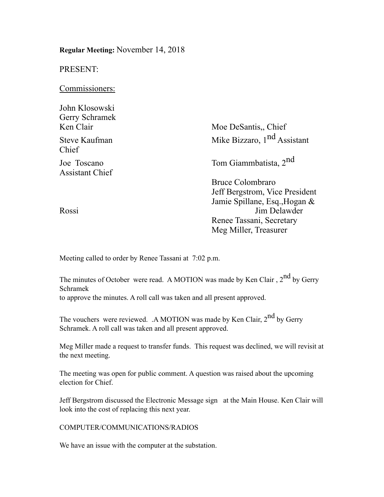**Regular Meeting:** November 14, 2018 PRESENT: Commissioners: John Klosowski Gerry Schramek Ken Clair Moe DeSantis, Chief Steve Kaufman Mike Bizzaro, 1<sup>nd</sup> Assistant Chief Joe Toscano Tom Giammbatista, 2nd Assistant Chief Bruce Colombraro Jeff Bergstrom, Vice President Jamie Spillane, Esq.,Hogan & Rossi Jim Delawder Renee Tassani, Secretary Meg Miller, Treasurer

Meeting called to order by Renee Tassani at 7:02 p.m.

The minutes of October were read. A MOTION was made by Ken Clair,  $2<sup>nd</sup>$  by Gerry Schramek to approve the minutes. A roll call was taken and all present approved.

The vouchers were reviewed. .A MOTION was made by Ken Clair, 2<sup>nd</sup> by Gerry Schramek. A roll call was taken and all present approved.

Meg Miller made a request to transfer funds. This request was declined, we will revisit at the next meeting.

The meeting was open for public comment. A question was raised about the upcoming election for Chief.

Jeff Bergstrom discussed the Electronic Message sign at the Main House. Ken Clair will look into the cost of replacing this next year.

# COMPUTER/COMMUNICATIONS/RADIOS

We have an issue with the computer at the substation.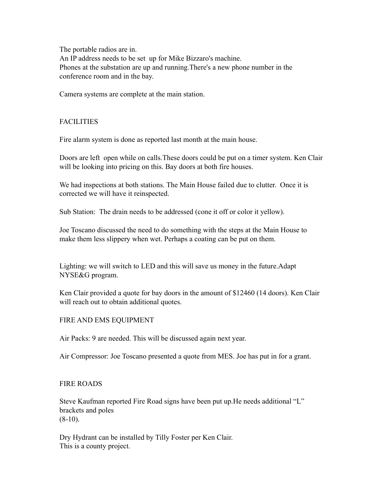The portable radios are in. An IP address needs to be set up for Mike Bizzaro's machine. Phones at the substation are up and running.There's a new phone number in the conference room and in the bay.

Camera systems are complete at the main station.

### FACILITIES

Fire alarm system is done as reported last month at the main house.

Doors are left open while on calls.These doors could be put on a timer system. Ken Clair will be looking into pricing on this. Bay doors at both fire houses.

We had inspections at both stations. The Main House failed due to clutter. Once it is corrected we will have it reinspected.

Sub Station: The drain needs to be addressed (cone it off or color it yellow).

Joe Toscano discussed the need to do something with the steps at the Main House to make them less slippery when wet. Perhaps a coating can be put on them.

Lighting: we will switch to LED and this will save us money in the future.Adapt NYSE&G program.

Ken Clair provided a quote for bay doors in the amount of \$12460 (14 doors). Ken Clair will reach out to obtain additional quotes.

# FIRE AND EMS EQUIPMENT

Air Packs: 9 are needed. This will be discussed again next year.

Air Compressor: Joe Toscano presented a quote from MES. Joe has put in for a grant.

# FIRE ROADS

Steve Kaufman reported Fire Road signs have been put up.He needs additional "L" brackets and poles  $(8-10)$ .

Dry Hydrant can be installed by Tilly Foster per Ken Clair. This is a county project.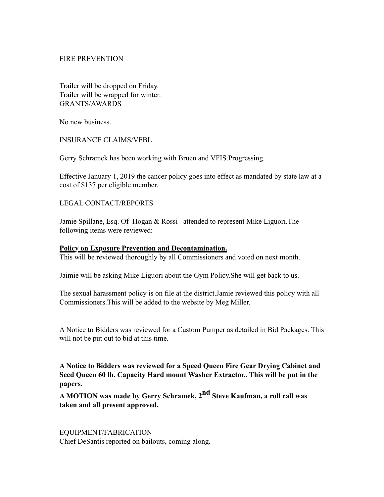### FIRE PREVENTION

Trailer will be dropped on Friday. Trailer will be wrapped for winter. GRANTS/AWARDS

No new business.

INSURANCE CLAIMS/VFBL

Gerry Schramek has been working with Bruen and VFIS.Progressing.

Effective January 1, 2019 the cancer policy goes into effect as mandated by state law at a cost of \$137 per eligible member.

### LEGAL CONTACT/REPORTS

Jamie Spillane, Esq. Of Hogan & Rossi attended to represent Mike Liguori.The following items were reviewed:

#### **Policy on Exposure Prevention and Decontamination.**

This will be reviewed thoroughly by all Commissioners and voted on next month.

Jaimie will be asking Mike Liguori about the Gym Policy.She will get back to us.

The sexual harassment policy is on file at the district.Jamie reviewed this policy with all Commissioners.This will be added to the website by Meg Miller.

A Notice to Bidders was reviewed for a Custom Pumper as detailed in Bid Packages. This will not be put out to bid at this time.

**A Notice to Bidders was reviewed for a Speed Queen Fire Gear Drying Cabinet and Seed Queen 60 lb. Capacity Hard mount Washer Extractor.. This will be put in the papers.** 

**A MOTION was made by Gerry Schramek, 2nd Steve Kaufman, a roll call was taken and all present approved.**

EQUIPMENT/FABRICATION Chief DeSantis reported on bailouts, coming along.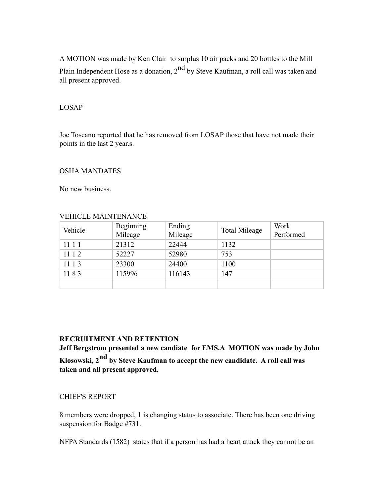A MOTION was made by Ken Clair to surplus 10 air packs and 20 bottles to the Mill Plain Independent Hose as a donation,  $2^{nd}$  by Steve Kaufman, a roll call was taken and all present approved.

#### LOSAP

Joe Toscano reported that he has removed from LOSAP those that have not made their points in the last 2 year.s.

#### OSHA MANDATES

No new business.

| Vehicle | Beginning | Ending  | <b>Total Mileage</b> | Work      |
|---------|-----------|---------|----------------------|-----------|
|         | Mileage   | Mileage |                      | Performed |
| 1111    | 21312     | 22444   | 1132                 |           |
| 11 1 2  | 52227     | 52980   | 753                  |           |
| 11 1 3  | 23300     | 24400   | 1100                 |           |
| 1183    | 115996    | 116143  | 147                  |           |
|         |           |         |                      |           |

#### VEHICLE MAINTENANCE

#### **RECRUITMENT AND RETENTION**

**Jeff Bergstrom presented a new candiate for EMS.A MOTION was made by John Klosowski, 2nd by Steve Kaufman to accept the new candidate. A roll call was taken and all present approved.**

### CHIEF'S REPORT

8 members were dropped, 1 is changing status to associate. There has been one driving suspension for Badge #731.

NFPA Standards (1582) states that if a person has had a heart attack they cannot be an